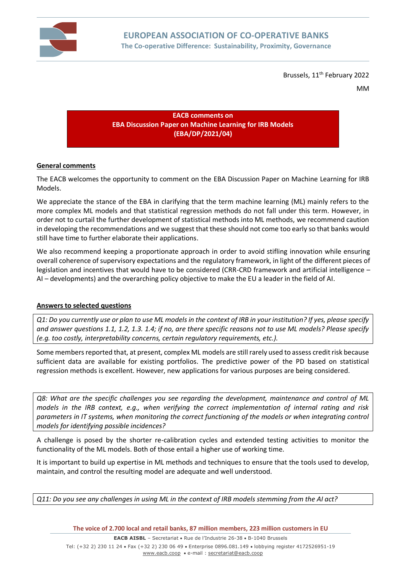

Brussels, 11<sup>th</sup> February 2022

MM

**EACB comments on EBA Discussion Paper on Machine Learning for IRB Models (EBA/DP/2021/04)**

## **General comments**

The EACB welcomes the opportunity to comment on the EBA Discussion Paper on Machine Learning for IRB Models.

We appreciate the stance of the EBA in clarifying that the term machine learning (ML) mainly refers to the more complex ML models and that statistical regression methods do not fall under this term. However, in order not to curtail the further development of statistical methods into ML methods, we recommend caution in developing the recommendations and we suggest that these should not come too early so that banks would still have time to further elaborate their applications.

We also recommend keeping a proportionate approach in order to avoid stifling innovation while ensuring overall coherence of supervisory expectations and the regulatory framework, in light of the different pieces of legislation and incentives that would have to be considered (CRR-CRD framework and artificial intelligence – AI – developments) and the overarching policy objective to make the EU a leader in the field of AI.

## **Answers to selected questions**

*Q1: Do you currently use or plan to use ML models in the context of IRB in your institution? If yes, please specify and answer questions 1.1, 1.2, 1.3. 1.4; if no, are there specific reasons not to use ML models? Please specify (e.g. too costly, interpretability concerns, certain regulatory requirements, etc.).*

Some members reported that, at present, complex ML models are still rarely used to assess credit risk because sufficient data are available for existing portfolios. The predictive power of the PD based on statistical regression methods is excellent. However, new applications for various purposes are being considered.

*Q8: What are the specific challenges you see regarding the development, maintenance and control of ML models in the IRB context, e.g., when verifying the correct implementation of internal rating and risk*  parameters in IT systems, when monitoring the correct functioning of the models or when integrating control *models for identifying possible incidences?*

A challenge is posed by the shorter re-calibration cycles and extended testing activities to monitor the functionality of the ML models. Both of those entail a higher use of working time.

It is important to build up expertise in ML methods and techniques to ensure that the tools used to develop, maintain, and control the resulting model are adequate and well understood.

*Q11: Do you see any challenges in using ML in the context of IRB models stemming from the AI act?*

**The voice of 2.700 local and retail banks, 87 million members, 223 million customers in EU**